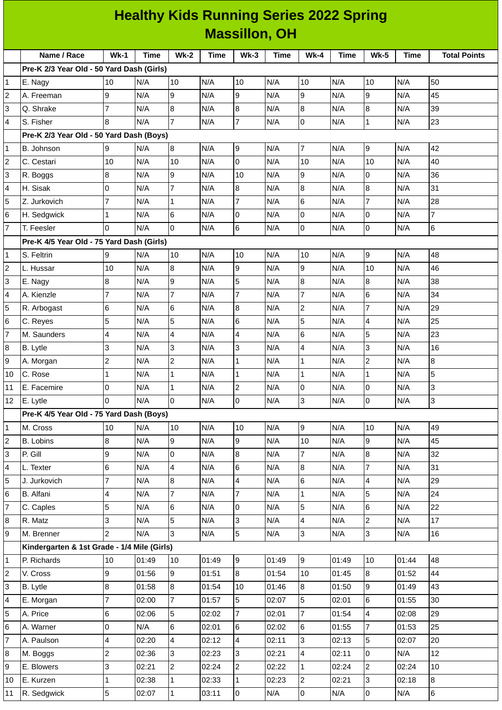|    | <b>Healthy Kids Running Series 2022 Spring</b> |                |             |                         |       |                  |             |                 |       |                |             |                     |
|----|------------------------------------------------|----------------|-------------|-------------------------|-------|------------------|-------------|-----------------|-------|----------------|-------------|---------------------|
|    | <b>Massillon, OH</b>                           |                |             |                         |       |                  |             |                 |       |                |             |                     |
|    | Name / Race                                    | $Wk-1$         | <b>Time</b> | $Wk-2$                  | Time  | $Wk-3$           | <b>Time</b> | $Wk-4$          | Time  | <b>Wk-5</b>    | <b>Time</b> | <b>Total Points</b> |
|    | Pre-K 2/3 Year Old - 50 Yard Dash (Girls)      |                |             |                         |       |                  |             |                 |       |                |             |                     |
| 1  | E. Nagy                                        | 10             | N/A         | 10                      | N/A   | 10               | N/A         | 10              | N/A   | 10             | N/A         | 50                  |
| 2  | A. Freeman                                     | 9              | N/A         | 9                       | N/A   | 9                | N/A         | 9               | N/A   | 9              | N/A         | 45                  |
| 3  | Q. Shrake                                      | $\overline{7}$ | N/A         | 8                       | N/A   | $\bf{8}$         | N/A         | 8               | N/A   | 8              | N/A         | 39                  |
| 4  | S. Fisher                                      | 8              | N/A         | $\overline{7}$          | N/A   | $\overline{7}$   | N/A         | 0               | N/A   | $\mathbf 1$    | N/A         | 23                  |
|    | Pre-K 2/3 Year Old - 50 Yard Dash (Boys)       |                |             |                         |       |                  |             |                 |       |                |             |                     |
| 1  | B. Johnson                                     | 9              | N/A         | 8                       | N/A   | 9                | N/A         | $\overline{7}$  | N/A   | 9              | N/A         | 42                  |
| 2  | C. Cestari                                     | 10             | N/A         | 10                      | N/A   | 0                | N/A         | 10              | N/A   | 10             | N/A         | 40                  |
| 3  | R. Boggs                                       | 8              | N/A         | 9                       | N/A   | 10               | N/A         | 9               | N/A   | 0              | N/A         | 36                  |
| 4  | H. Sisak                                       | O              | N/A         | $\overline{7}$          | N/A   | 8                | N/A         | 8               | N/A   | 8              | N/A         | 31                  |
| 5  | Z. Jurkovich                                   | 7              | N/A         | $\mathbf{1}$            | N/A   | $\overline{7}$   | N/A         | $6\phantom{1}6$ | N/A   | $\overline{7}$ | N/A         | 28                  |
| 6  | H. Sedgwick                                    | $\mathbf{1}$   | N/A         | 6                       | N/A   | 0                | N/A         | $\overline{0}$  | N/A   | 0              | N/A         | 7                   |
| 7  | T. Feesler                                     | O              | N/A         | 0                       | N/A   | $6\phantom{.}$   | N/A         | 0               | N/A   | 0              | N/A         | $6\phantom{.}$      |
|    | Pre-K 4/5 Year Old - 75 Yard Dash (Girls)      |                |             |                         |       |                  |             |                 |       |                |             |                     |
| 1  | S. Feltrin                                     | 9              | N/A         | 10                      | N/A   | 10               | N/A         | 10              | N/A   | 9              | N/A         | 48                  |
| 2  | L. Hussar                                      | 10             | N/A         | 8                       | N/A   | 9                | N/A         | 9               | N/A   | 10             | N/A         | 46                  |
| 3  | E. Nagy                                        | $\bf{8}$       | N/A         | 9                       | N/A   | 5                | N/A         | 8               | N/A   | 8              | N/A         | 38                  |
| 4  | A. Kienzle                                     | $\overline{7}$ | N/A         | $\overline{7}$          | N/A   | $\overline{7}$   | N/A         | $\overline{7}$  | N/A   | 6              | N/A         | 34                  |
| 5  | R. Arbogast                                    | 6              | N/A         | 6                       | N/A   | 8                | N/A         | $\overline{c}$  | N/A   | $\overline{7}$ | N/A         | 29                  |
| 6  | C. Reyes                                       | 5              | N/A         | 5                       | N/A   | 6                | N/A         | 5               | N/A   | 4              | N/A         | 25                  |
| 7  | M. Saunders                                    | $\overline{4}$ | N/A         | 4                       | N/A   | 4                | N/A         | 6               | N/A   | 5              | N/A         | 23                  |
| 8  | B. Lytle                                       | 3              | N/A         | 3                       | N/A   | 3                | N/A         | $\overline{4}$  | N/A   | 3              | N/A         | 16                  |
| 9  | A. Morgan                                      | $\overline{c}$ | N/A         | $\overline{c}$          | N/A   | 1                | N/A         | $\overline{1}$  | N/A   | $\overline{c}$ | N/A         | 8                   |
| 10 | C. Rose                                        | 1              | N/A         | $\mathbf{1}$            | N/A   | $\mathbf 1$      | N/A         | $\mathbf{1}$    | N/A   | $\mathbf 1$    | N/A         | 5                   |
| 11 | E. Facemire                                    | lо             | N/A         | $\mathbf{1}$            | N/A   | $\overline{2}$   | N/A         | $\overline{0}$  | N/A   | 0              | N/A         | 3                   |
| 12 | E. Lytle                                       | $\Omega$       | N/A         | $\overline{0}$          | N/A   | $\mathsf 0$      | N/A         | $\overline{3}$  | N/A   | 0              | N/A         | 3                   |
|    | Pre-K 4/5 Year Old - 75 Yard Dash (Boys)       |                |             |                         |       |                  |             |                 |       |                |             |                     |
| 1  | M. Cross                                       | 10             | N/A         | 10                      | N/A   | 10               | N/A         | 9               | N/A   | 10             | N/A         | 49                  |
| 2  | <b>B.</b> Lobins                               | $\overline{8}$ | N/A         | 9                       | N/A   | 9                | N/A         | 10              | N/A   | 9              | N/A         | 45                  |
| 3  | P. Gill                                        | 9              | N/A         | 0                       | N/A   | $\bf{8}$         | N/A         | $\overline{7}$  | N/A   | 8              | N/A         | 32                  |
| 4  | L. Texter                                      | 6              | N/A         | $\overline{\mathbf{4}}$ | N/A   | $6\phantom{.}$   | N/A         | 8               | N/A   | $\overline{7}$ | N/A         | 31                  |
| 5  | J. Jurkovich                                   | 7              | N/A         | 8                       | N/A   | 4                | N/A         | $6\phantom{.}$  | N/A   | 4              | N/A         | 29                  |
| 6  | B. Alfani                                      | $\overline{4}$ | N/A         | $\overline{7}$          | N/A   | $\overline{7}$   | N/A         | $\mathbf{1}$    | N/A   | 5              | N/A         | 24                  |
| 7  | C. Caples                                      | 5              | N/A         | 6                       | N/A   | 0                | N/A         | 5               | N/A   | 6              | N/A         | 22                  |
| 8  | R. Matz                                        | 3              | N/A         | 5                       | N/A   | 3                | N/A         | $\overline{4}$  | N/A   | $\overline{c}$ | N/A         | 17                  |
| 9  | M. Brenner                                     | 2              | N/A         | 3                       | N/A   | 5                | N/A         | $\overline{3}$  | N/A   | 3              | N/A         | 16                  |
|    | Kindergarten & 1st Grade - 1/4 Mile (Girls)    |                |             |                         |       |                  |             |                 |       |                |             |                     |
| 1  | P. Richards                                    | 10             | 01:49       | 10                      | 01:49 | $\boldsymbol{9}$ | 01:49       | 9               | 01:49 | 10             | 01:44       | 48                  |
| 2  | V. Cross                                       | 9              | 01:56       | 9                       | 01:51 | $\overline{8}$   | 01:54       | 10              | 01:45 | 8              | 01:52       | 44                  |
| 3  | B. Lytle                                       | 8              | 01:58       | 8                       | 01:54 | 10               | 01:46       | 8               | 01:50 | 9              | 01:49       | 43                  |
| 4  | E. Morgan                                      | $\overline{7}$ | 02:00       | $\overline{7}$          | 01:57 | 5                | 02:07       | 5               | 02:01 | 6              | 01:55       | 30                  |
| 5  | A. Price                                       | $\,6$          | 02:06       | 5                       | 02:02 | $\overline{7}$   | 02:01       | $\overline{7}$  | 01:54 | 4              | 02:08       | 29                  |
| 6  | A. Warner                                      | $\overline{0}$ | N/A         | 6                       | 02:01 | $\,6$            | 02:02       | $\,6$           | 01:55 | $\overline{7}$ | 01:53       | 25                  |
| 7  | A. Paulson                                     | $\overline{4}$ | 02:20       | $\overline{\mathbf{4}}$ | 02:12 | 4                | 02:11       | 3               | 02:13 | 5              | 02:07       | 20                  |
| 8  | M. Boggs                                       | $\overline{c}$ | 02:36       | $\overline{3}$          | 02:23 | 3                | 02:21       | $\overline{a}$  | 02:11 | 0              | N/A         | 12                  |
| 9  | E. Blowers                                     | 3              | 02:21       | $\overline{c}$          | 02:24 | $\overline{c}$   | 02:22       | $\mathbf{1}$    | 02:24 | $\overline{c}$ | 02:24       | 10                  |
| 10 | E. Kurzen                                      | $\mathbf{1}$   | 02:38       | $\mathbf 1$             | 02:33 | $\mathbf 1$      | 02:23       | $\overline{c}$  | 02:21 | 3              | 02:18       | $\bf{8}$            |
| 11 | R. Sedgwick                                    | 5              | 02:07       | $\mathbf 1$             | 03:11 | $\overline{0}$   | N/A         | $\overline{0}$  | N/A   | 0              | N/A         | $6\phantom{a}$      |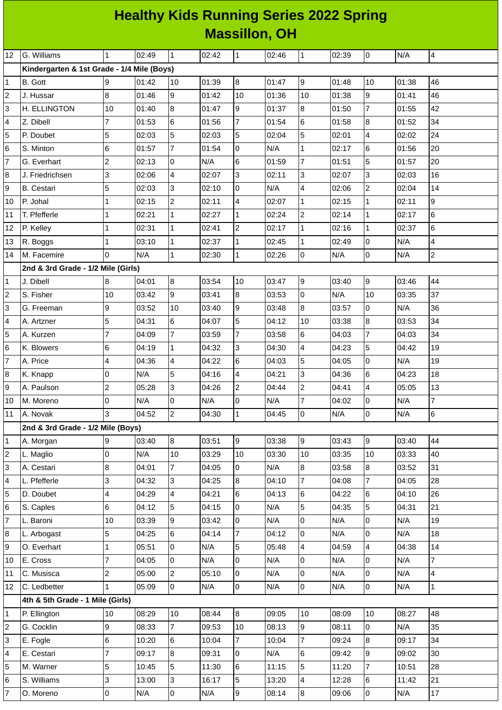| <b>Healthy Kids Running Series 2022 Spring</b> |  |
|------------------------------------------------|--|
| <b>Massillon, OH</b>                           |  |

| 12             | G. Williams                                | $\mathbf{1}$        | 02:49 | $\mathbf{1}$            | 02:42          | $\mathbf{1}$         | 02:46          | 1                   | 02:39          | 0              | N/A          | $\overline{4}$ |
|----------------|--------------------------------------------|---------------------|-------|-------------------------|----------------|----------------------|----------------|---------------------|----------------|----------------|--------------|----------------|
|                | Kindergarten & 1st Grade - 1/4 Mile (Boys) |                     |       |                         |                |                      |                |                     |                |                |              |                |
| 1              | <b>B.</b> Gott                             | 9                   | 01:42 | 10                      | 01:39          | 8                    | 01:47          | 9                   | 01:48          | 10             | 01:38        | 46             |
| $\overline{c}$ | J. Hussar                                  | $\overline{8}$      | 01:46 | 9                       | 01:42          | 10                   | 01:36          | 10                  | 01:38          | $\overline{9}$ | 01:41        | 46             |
| 3              | H. ELLINGTON                               | 10                  | 01:40 | 8                       | 01:47          | 9                    | 01:37          | 8                   | 01:50          | $\overline{7}$ | 01:55        | 42             |
| 4              | Z. Dibell                                  | 7                   | 01:53 | 6                       | 01:56          | $\overline{7}$       | 01:54          | $6\phantom{.}$      | 01:58          | 8              | 01:52        | 34             |
| 5              | P. Doubet                                  | 5                   | 02:03 | 5                       | 02:03          | 5                    | 02:04          | 5                   | 02:01          | $\overline{4}$ | 02:02        | 24             |
| 6              | S. Minton                                  | 6                   | 01:57 | $\overline{7}$          | 01:54          | 0                    | N/A            | $\mathbf{1}$        | 02:17          | 6              | 01:56        | 20             |
| 7              | G. Everhart                                | $\overline{c}$      | 02:13 | 0                       | N/A            | $6\phantom{a}$       | 01:59          | $\overline{7}$      | 01:51          | 5              | 01:57        | 20             |
| 8              | J. Friedrichsen                            | 3                   | 02:06 | $\overline{\mathbf{4}}$ | 02:07          | 3                    | 02:11          | 3                   | 02:07          | 3              | 02:03        | 16             |
| 9              | <b>B.</b> Cestari                          | 5                   | 02:03 | 3                       | 02:10          | 0                    | N/A            | 4                   | 02:06          | $\overline{c}$ | 02:04        | 14             |
| 10             | P. Johal                                   | $\mathbf{1}$        | 02:15 | $\overline{c}$          | 02:11          | 4                    | 02:07          | $\mathbf 1$         | 02:15          | $\mathbf{1}$   | 02:11        | 9              |
| 11             | T. Pfefferle                               | $\mathbf 1$         | 02:21 | $\mathbf{1}$            | 02:27          | $\mathbf{1}$         | 02:24          | $\overline{c}$      | 02:14          | $\mathbf{1}$   | 02:17        | 6              |
| 12             | P. Kelley                                  | $\mathbf 1$         | 02:31 | $\mathbf 1$             | 02:41          | $\overline{2}$       | 02:17          | $\mathbf{1}$        | 02:16          | $\mathbf{1}$   | 02:37        | $\,6$          |
| 13             | R. Boggs                                   | $\mathbf{1}$        | 03:10 | $\mathbf{1}$            | 02:37          | $\mathbf{1}$         | 02:45          | $\mathbf{1}$        | 02:49          | 0              | N/A          | 4              |
| 14             | M. Facemire                                | l0                  | N/A   | $\mathbf{1}$            | 02:30          | $\mathbf{1}$         | 02:26          | 0                   | N/A            | 0              | N/A          | $\overline{a}$ |
|                | 2nd & 3rd Grade - 1/2 Mile (Girls)         |                     |       |                         |                |                      |                |                     |                |                |              |                |
| 1              | J. Dibell                                  | 8                   | 04:01 | $\overline{8}$          | 03:54          | 10                   | 03:47          | g                   | 03:40          | 9              | 03:46        | 44             |
| $\overline{c}$ | S. Fisher                                  | 10                  | 03:42 | 9                       | 03:41          | 8                    | 03:53          | 0                   | N/A            | 10             | 03:35        | 37             |
| 3              | G. Freeman                                 | 9                   | 03:52 | 10                      | 03:40          | 9                    | 03:48          | 8                   | 03:57          | O              | N/A          | 36             |
| 4              | A. Artzner                                 | 5                   | 04:31 | 6                       | 04:07          | 5                    | 04:12          | 10                  | 03:38          | 8              | 03:53        | 34             |
| 5              | A. Kurzen                                  | $\overline{7}$      | 04:09 | $\overline{7}$          | 03:59          | $\overline{7}$       | 03:58          | 6                   | 04:03          | $\overline{7}$ | 04:03        | 34             |
| 6              | K. Blowers                                 | 6                   | 04:19 | $\mathbf{1}$            | 04:32          | 3                    | 04:30          | 4                   | 04:23          | 5              | 04:42        | 19             |
| 7              | A. Price                                   | 4                   | 04:36 | 4                       | 04:22          | 6                    | 04:03          | 5                   | 04:05          | $\Omega$       | N/A          | 19             |
| 8              | K. Knapp                                   | $\overline{0}$      | N/A   | 5                       | 04:16          | 4                    | 04:21          | 3                   | 04:36          | 6              | 04:23        | 18             |
| 9              | A. Paulson                                 | $\overline{c}$      | 05:28 | 3                       | 04:26          | $\overline{c}$       | 04:44          | $\overline{c}$      | 04:41          | $\overline{4}$ | 05:05        | 13             |
| 10             | M. Moreno                                  | 0                   | N/A   | 0                       | N/A            | $\mathsf{O}$         | N/A            | $\overline{7}$      | 04:02          | 0              | N/A          | $\overline{7}$ |
| 11             | A. Novak                                   | 3                   | 04:52 | $\overline{c}$          | 04:30          | $\mathbf 1$          | 04:45          | $\Omega$            | N/A            | 0              | N/A          | $\,6$          |
|                | 2nd & 3rd Grade - 1/2 Mile (Boys)          |                     |       |                         |                |                      |                |                     |                |                |              |                |
| 1              | A. Morgan                                  | 9                   | 03:40 | 8                       | 03:51          | 9                    | 03:38          | 9                   | 03:43          | 9              | 03:40        | 44             |
| $\overline{c}$ | L. Maglio                                  | $\overline{0}$      | N/A   | $10\,$                  | 03:29          | 10                   | 03:30          | 10                  | 03:35          | 10             | 03:33        | 40             |
| 3              | A. Cestari                                 | 8                   | 04:01 | $\overline{7}$          | 04:05          | 0                    | N/A            | 8                   | 03:58          | 8              | 03:52        | 31             |
| 4              | L. Pfefferle                               | 3                   | 04:32 | 3                       | 04:25          | 8                    | 04:10          | 7                   | 04:08          | 7              | 04:05        | 28             |
| 5              | D. Doubet                                  | 4                   | 04:29 | 4                       | 04:21          | 6                    | 04:13          | 6                   | 04:22          | 6              | 04:10        | 26             |
| 6              | S. Caples                                  | 6                   | 04:12 | 5                       | 04:15          | O                    | N/A            | 5                   | 04:35          | 5              | 04:31        | 21             |
| 7              | L. Baroni                                  | 10                  | 03:39 | 9                       | 03:42          | 0                    | N/A            | 0                   | N/A            | 0              | N/A          | 19             |
| 8              | L. Arbogast                                | 5                   | 04:25 | 6                       | 04:14          | $\overline{7}$       | 04:12          | $\mathsf{O}$        | N/A            | 0              | N/A          | 18             |
| 9              | O. Everhart                                | $\mathbf 1$         | 05:51 | 0                       | N/A            | 5                    | 05:48          | 4                   | 04:59          | 4              | 04:38        | 14             |
| 10             | E. Cross                                   | $\overline{7}$      | 04:05 | 0                       | N/A            | $\overline{0}$       | N/A            | 0                   | N/A            | 0              | N/A          | $\overline{7}$ |
| 11             | C. Musisca                                 | $\overline{c}$      | 05:00 | $\overline{c}$          | 05:10          | 0                    | N/A            | 0                   | N/A            | 0              | N/A          | $\overline{4}$ |
| 12             | C. Ledbetter                               | $\mathbf{1}$        | 05:09 | $\overline{0}$          | N/A            | $\overline{0}$       | N/A            | $\overline{0}$      | N/A            | $\overline{0}$ | N/A          | $\mathbf{1}$   |
|                | 4th & 5th Grade - 1 Mile (Girls)           | 10                  | 08:29 | $10\,$                  | 08:44          | 8                    | 09:05          | 10                  | 08:09          | 10             | 08:27        | 48             |
| 1              | P. Ellington<br>G. Cocklin                 | 9                   | 08:33 | $\overline{7}$          |                |                      |                |                     |                |                |              | 35             |
| 2<br>3         | E. Fogle                                   | 6                   | 10:20 | 6                       | 09:53<br>10:04 | 10<br>$\overline{7}$ | 08:13<br>10:04 | 9<br>$\overline{7}$ | 08:11<br>09:24 | 0<br>8         | N/A<br>09:17 | 34             |
| 4              | E. Cestari                                 | $\overline{7}$      | 09:17 | $\bf{8}$                | 09:31          | O                    | N/A            | 6                   | 09:42          | 9              | 09:02        | 30             |
| 5              | M. Warner                                  | 5                   | 10:45 | 5                       | 11:30          | 6                    | 11:15          | 5                   | 11:20          | 7              | 10:51        | 28             |
| 6              | S. Williams                                | 3                   | 13:00 | 3                       | 16:17          | 5                    | 13:20          | 4                   | 12:28          | 6              | 11:42        | 21             |
| 7              | O. Moreno                                  | $\mathsf{O}\xspace$ | N/A   | $\mathsf{O}\xspace$     | N/A            | 9                    | 08:14          | 8                   | 09:06          | $\mathsf 0$    | N/A          | 17             |
|                |                                            |                     |       |                         |                |                      |                |                     |                |                |              |                |